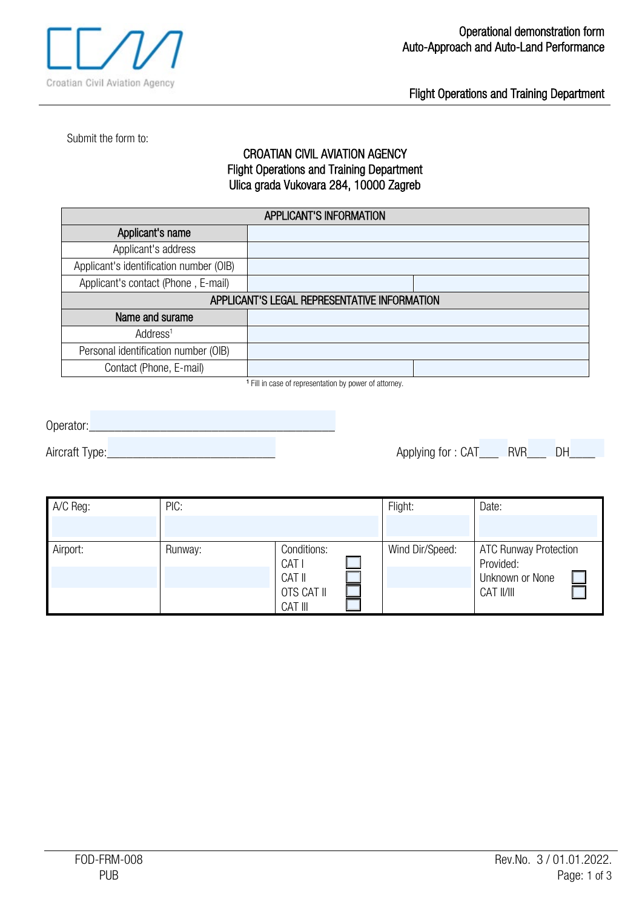

Flight Operations and Training Department

Submit the form to:

## CROATIAN CIVIL AVIATION AGENCY Flight Operations and Training Department Ulica grada Vukovara 284, 10000 Zagreb

| <b>APPLICANT'S INFORMATION</b>               |  |  |  |  |
|----------------------------------------------|--|--|--|--|
| Applicant's name                             |  |  |  |  |
| Applicant's address                          |  |  |  |  |
| Applicant's identification number (OIB)      |  |  |  |  |
| Applicant's contact (Phone, E-mail)          |  |  |  |  |
| APPLICANT'S LEGAL REPRESENTATIVE INFORMATION |  |  |  |  |
| Name and surame                              |  |  |  |  |
| Address <sup>1</sup>                         |  |  |  |  |
| Personal identification number (OIB)         |  |  |  |  |
| Contact (Phone, E-mail)                      |  |  |  |  |

<sup>1</sup> Fill in case of representation by power of attorney.

Operator:\_\_\_\_\_\_\_\_\_\_\_\_\_\_\_\_\_\_\_\_\_\_\_\_\_\_\_\_\_\_\_\_\_\_\_\_\_\_

Aircraft Type:\_\_\_\_\_\_\_\_\_\_\_\_\_\_\_\_\_\_\_\_\_\_\_\_\_\_ Applying for : CAT\_\_\_ RVR\_\_\_ DH\_\_\_\_

| A/C Reg:                               | PIC:                   |       | Flight:         | Date:                                     |
|----------------------------------------|------------------------|-------|-----------------|-------------------------------------------|
|                                        |                        |       |                 |                                           |
| Airport:                               | Conditions:<br>Runway: | CAT I | Wind Dir/Speed: | <b>ATC Runway Protection</b><br>Provided: |
| CAT II<br><b>OTS CAT II</b><br>CAT III |                        |       | Unknown or None |                                           |
|                                        |                        |       |                 | CAT II/III                                |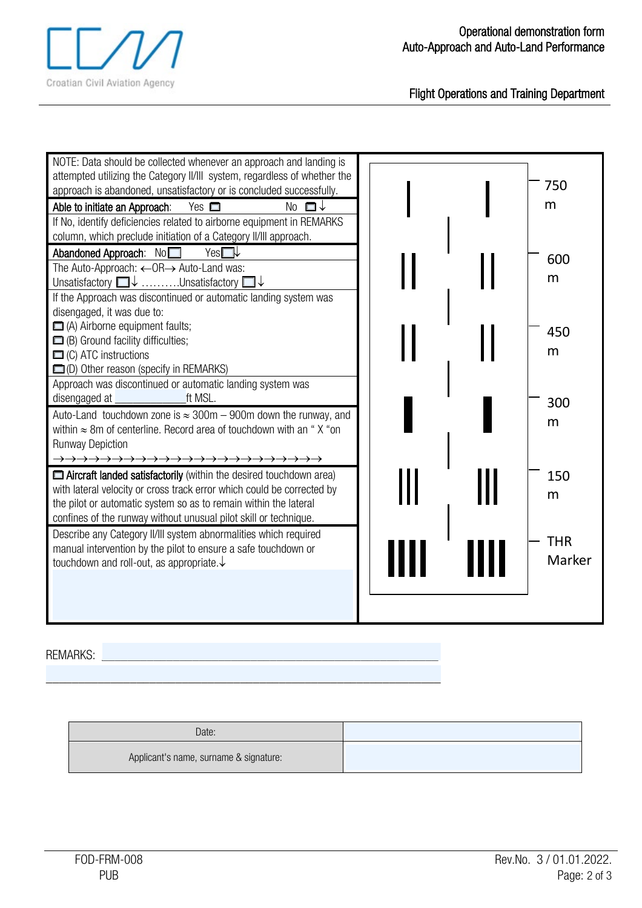

Flight Operations and Training Department

| NOTE: Data should be collected whenever an approach and landing is<br>attempted utilizing the Category II/III system, regardless of whether the<br>approach is abandoned, unsatisfactory or is concluded successfully.<br>No $\Box \downarrow$<br>Able to initiate an Approach:<br>Yes $\Box$<br>If No, identify deficiencies related to airborne equipment in REMARKS<br>column, which preclude initiation of a Category II/III approach. |  | 750<br>m             |
|--------------------------------------------------------------------------------------------------------------------------------------------------------------------------------------------------------------------------------------------------------------------------------------------------------------------------------------------------------------------------------------------------------------------------------------------|--|----------------------|
| Abandoned Approach: No<br>Yes<br>The Auto-Approach: ←OR→ Auto-Land was:<br>Unsatisfactory $\Box\downarrow$ Unsatisfactory $\Box\downarrow$<br>If the Approach was discontinued or automatic landing system was<br>disengaged, it was due to:                                                                                                                                                                                               |  | 600<br>m             |
| $\Box$ (A) Airborne equipment faults;<br>$\Box$ (B) Ground facility difficulties;<br>$\Box$ (C) ATC instructions<br>D) Other reason (specify in REMARKS)<br>Approach was discontinued or automatic landing system was                                                                                                                                                                                                                      |  | 450<br>m             |
| ft MSL.<br>disengaged at<br>Auto-Land touchdown zone is $\approx 300$ m – 900m down the runway, and<br>within $\approx$ 8m of centerline. Record area of touchdown with an "X "on<br><b>Runway Depiction</b>                                                                                                                                                                                                                               |  | 300<br>m             |
| Aircraft landed satisfactorily (within the desired touchdown area)<br>with lateral velocity or cross track error which could be corrected by<br>the pilot or automatic system so as to remain within the lateral<br>confines of the runway without unusual pilot skill or technique.                                                                                                                                                       |  | 150<br>m             |
| Describe any Category II/III system abnormalities which required<br>manual intervention by the pilot to ensure a safe touchdown or<br>touchdown and roll-out, as appropriate. $\downarrow$                                                                                                                                                                                                                                                 |  | <b>THR</b><br>Marker |

REMARKS:

| Date:                                  |  |
|----------------------------------------|--|
| Applicant's name, surname & signature: |  |

\_\_\_\_\_\_\_\_\_\_\_\_\_\_\_\_\_\_\_\_\_\_\_\_\_\_\_\_\_\_\_\_\_\_\_\_\_\_\_\_\_\_\_\_\_\_\_\_\_\_\_\_\_\_\_\_\_\_\_\_\_